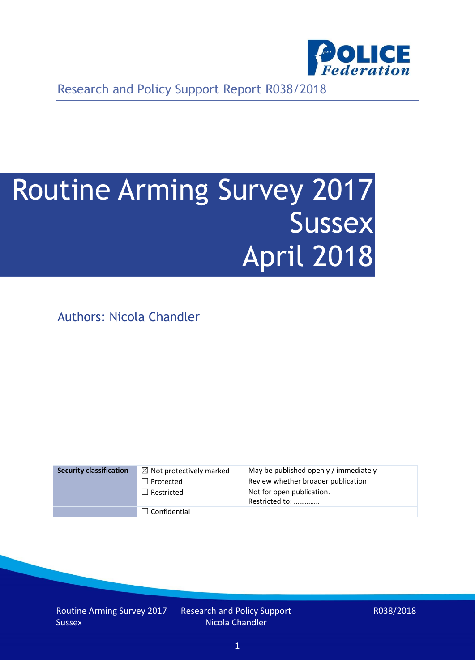

Research and Policy Support Report R038/2018

# Routine Arming Survey 2017 **Sussex** April 2018

Authors: Nicola Chandler

| <b>Security classification</b> | $\boxtimes$ Not protectively marked | May be published openly / immediately       |
|--------------------------------|-------------------------------------|---------------------------------------------|
|                                | $\Box$ Protected                    | Review whether broader publication          |
|                                | $\Box$ Restricted                   | Not for open publication.<br>Restricted to: |
|                                | $\Box$ Confidential                 |                                             |

Routine Arming Survey 2017 **Sussex** 

Research and Policy Support Nicola Chandler

R038/2018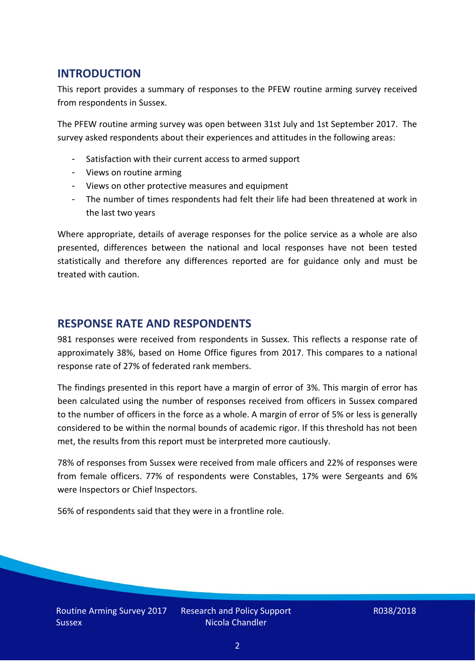## **INTRODUCTION**

This report provides a summary of responses to the PFEW routine arming survey received from respondents in Sussex.

The PFEW routine arming survey was open between 31st July and 1st September 2017. The survey asked respondents about their experiences and attitudes in the following areas:

- Satisfaction with their current access to armed support
- Views on routine arming
- Views on other protective measures and equipment
- The number of times respondents had felt their life had been threatened at work in the last two years

Where appropriate, details of average responses for the police service as a whole are also presented, differences between the national and local responses have not been tested statistically and therefore any differences reported are for guidance only and must be treated with caution.

### **RESPONSE RATE AND RESPONDENTS**

981 responses were received from respondents in Sussex. This reflects a response rate of approximately 38%, based on Home Office figures from 2017. This compares to a national response rate of 27% of federated rank members.

The findings presented in this report have a margin of error of 3%. This margin of error has been calculated using the number of responses received from officers in Sussex compared to the number of officers in the force as a whole. A margin of error of 5% or less is generally considered to be within the normal bounds of academic rigor. If this threshold has not been met, the results from this report must be interpreted more cautiously.

78% of responses from Sussex were received from male officers and 22% of responses were from female officers. 77% of respondents were Constables, 17% were Sergeants and 6% were Inspectors or Chief Inspectors.

56% of respondents said that they were in a frontline role.

Research and Policy Support Nicola Chandler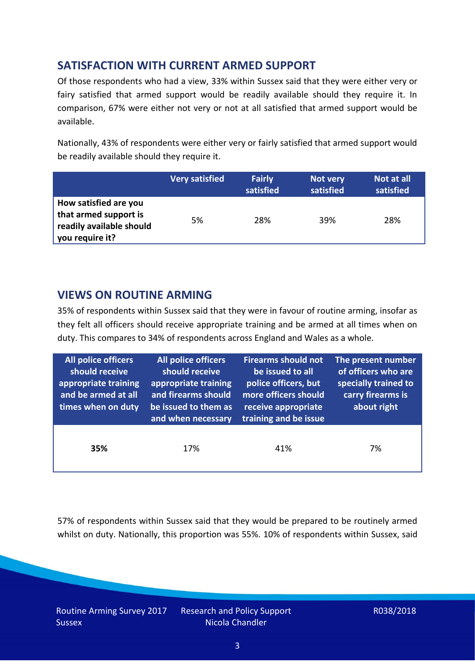## **SATISFACTION WITH CURRENT ARMED SUPPORT**

Of those respondents who had a view, 33% within Sussex said that they were either very or fairy satisfied that armed support would be readily available should they require it. In comparison, 67% were either not very or not at all satisfied that armed support would be available.

Nationally, 43% of respondents were either very or fairly satisfied that armed support would be readily available should they require it.

|                                                                                               | <b>Very satisfied</b> | <b>Fairly</b><br>satisfied | Not very<br>satisfied | Not at all<br>satisfied |
|-----------------------------------------------------------------------------------------------|-----------------------|----------------------------|-----------------------|-------------------------|
| How satisfied are you<br>that armed support is<br>readily available should<br>you require it? | 5%                    | 28%                        | 39%                   | 28%                     |

## **VIEWS ON ROUTINE ARMING**

35% of respondents within Sussex said that they were in favour of routine arming, insofar as they felt all officers should receive appropriate training and be armed at all times when on duty. This compares to 34% of respondents across England and Wales as a whole.

| All police officers<br>should receive<br>appropriate training<br>and be armed at all<br>times when on duty | All police officers<br>should receive<br>appropriate training<br>and firearms should<br>be issued to them as<br>and when necessary | <b>Firearms should not</b><br>be issued to all<br>police officers, but<br>more officers should<br>receive appropriate<br>training and be issue | The present number<br>of officers who are<br>specially trained to<br>carry firearms is<br>about right |
|------------------------------------------------------------------------------------------------------------|------------------------------------------------------------------------------------------------------------------------------------|------------------------------------------------------------------------------------------------------------------------------------------------|-------------------------------------------------------------------------------------------------------|
| 35%                                                                                                        | 17%                                                                                                                                | 41%                                                                                                                                            | 7%                                                                                                    |

57% of respondents within Sussex said that they would be prepared to be routinely armed whilst on duty. Nationally, this proportion was 55%. 10% of respondents within Sussex, said

Routine Arming Survey 2017 **Sussex** 

Research and Policy Support Nicola Chandler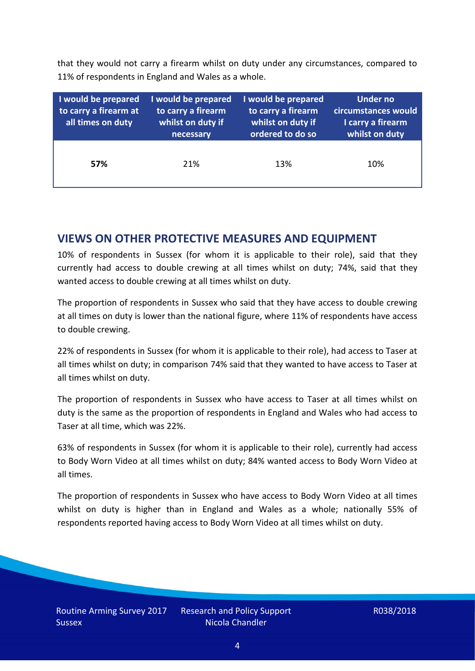that they would not carry a firearm whilst on duty under any circumstances, compared to 11% of respondents in England and Wales as a whole.

| I would be prepared<br>to carry a firearm at<br>all times on duty | I would be prepared<br>to carry a firearm<br>whilst on duty if<br>necessary | I would be prepared<br>to carry a firearm<br>whilst on duty if<br>ordered to do so | <b>Under no</b><br>circumstances would<br>I carry a firearm<br>whilst on duty |
|-------------------------------------------------------------------|-----------------------------------------------------------------------------|------------------------------------------------------------------------------------|-------------------------------------------------------------------------------|
| 57%                                                               | 21%                                                                         | 13%                                                                                | 10%                                                                           |

#### **VIEWS ON OTHER PROTECTIVE MEASURES AND EQUIPMENT**

10% of respondents in Sussex (for whom it is applicable to their role), said that they currently had access to double crewing at all times whilst on duty; 74%, said that they wanted access to double crewing at all times whilst on duty.

The proportion of respondents in Sussex who said that they have access to double crewing at all times on duty is lower than the national figure, where 11% of respondents have access to double crewing.

22% of respondents in Sussex (for whom it is applicable to their role), had access to Taser at all times whilst on duty; in comparison 74% said that they wanted to have access to Taser at all times whilst on duty.

The proportion of respondents in Sussex who have access to Taser at all times whilst on duty is the same as the proportion of respondents in England and Wales who had access to Taser at all time, which was 22%.

63% of respondents in Sussex (for whom it is applicable to their role), currently had access to Body Worn Video at all times whilst on duty; 84% wanted access to Body Worn Video at all times.

The proportion of respondents in Sussex who have access to Body Worn Video at all times whilst on duty is higher than in England and Wales as a whole; nationally 55% of respondents reported having access to Body Worn Video at all times whilst on duty.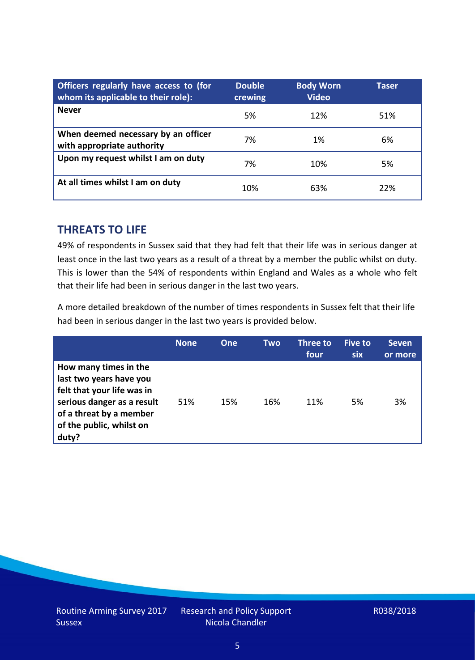| Officers regularly have access to (for<br>whom its applicable to their role): | <b>Double</b><br>crewing | <b>Body Worn</b><br><b>Video</b> | Taser |
|-------------------------------------------------------------------------------|--------------------------|----------------------------------|-------|
| <b>Never</b>                                                                  | 5%                       | 12%                              | 51%   |
| When deemed necessary by an officer<br>with appropriate authority             | 7%                       | 1%                               | 6%    |
| Upon my request whilst I am on duty                                           | 7%                       | 10%                              | 5%    |
| At all times whilst I am on duty                                              | 10%                      | 63%                              | 22%   |

#### **THREATS TO LIFE**

49% of respondents in Sussex said that they had felt that their life was in serious danger at least once in the last two years as a result of a threat by a member the public whilst on duty. This is lower than the 54% of respondents within England and Wales as a whole who felt that their life had been in serious danger in the last two years.

A more detailed breakdown of the number of times respondents in Sussex felt that their life had been in serious danger in the last two years is provided below.

|                                                                                                                                                                              | <b>None</b> | <b>One</b> | <b>Two</b> | Three to<br>four | <b>Five to</b><br><b>six</b> | <b>Seven</b><br>or more |
|------------------------------------------------------------------------------------------------------------------------------------------------------------------------------|-------------|------------|------------|------------------|------------------------------|-------------------------|
| How many times in the<br>last two years have you<br>felt that your life was in<br>serious danger as a result<br>of a threat by a member<br>of the public, whilst on<br>duty? | 51%         | 15%        | 16%        | 11%              | 5%                           | 3%                      |

Research and Policy Support Nicola Chandler